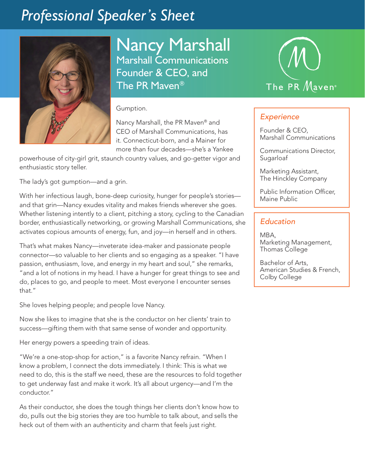## *Professional Speaker's Sheet*



Nancy Marshall Marshall Communications Founder & CEO, and The PR Maven®

Gumption.

Nancy Marshall, the PR Maven® and CEO of Marshall Communications, has it. Connecticut-born, and a Mainer for more than four decades—she's a Yankee

powerhouse of city-girl grit, staunch country values, and go-getter vigor and enthusiastic story teller.

The lady's got gumption—and a grin.

With her infectious laugh, bone-deep curiosity, hunger for people's stories and that grin—Nancy exudes vitality and makes friends wherever she goes. Whether listening intently to a client, pitching a story, cycling to the Canadian border, enthusiastically networking, or growing Marshall Communications, she activates copious amounts of energy, fun, and joy—in herself and in others.

That's what makes Nancy—inveterate idea-maker and passionate people connector—so valuable to her clients and so engaging as a speaker. "I have passion, enthusiasm, love, and energy in my heart and soul," she remarks, "and a lot of notions in my head. I have a hunger for great things to see and do, places to go, and people to meet. Most everyone I encounter senses that."

She loves helping people; and people love Nancy.

Now she likes to imagine that she is the conductor on her clients' train to success—gifting them with that same sense of wonder and opportunity.

Her energy powers a speeding train of ideas.

"We're a one-stop-shop for action," is a favorite Nancy refrain. "When I know a problem, I connect the dots immediately. I think: This is what we need to do, this is the staff we need, these are the resources to fold together to get underway fast and make it work. It's all about urgency—and I'm the conductor."

As their conductor, she does the tough things her clients don't know how to do, pulls out the big stories they are too humble to talk about, and sells the heck out of them with an authenticity and charm that feels just right.



## *Experience*

Founder & CEO, Marshall Communications

Communications Director, Sugarloaf

Marketing Assistant, The Hinckley Company

Public Information Officer, Maine Public

## *Education*

MBA, Marketing Management, Thomas College

Bachelor of Arts, American Studies & French, Colby College